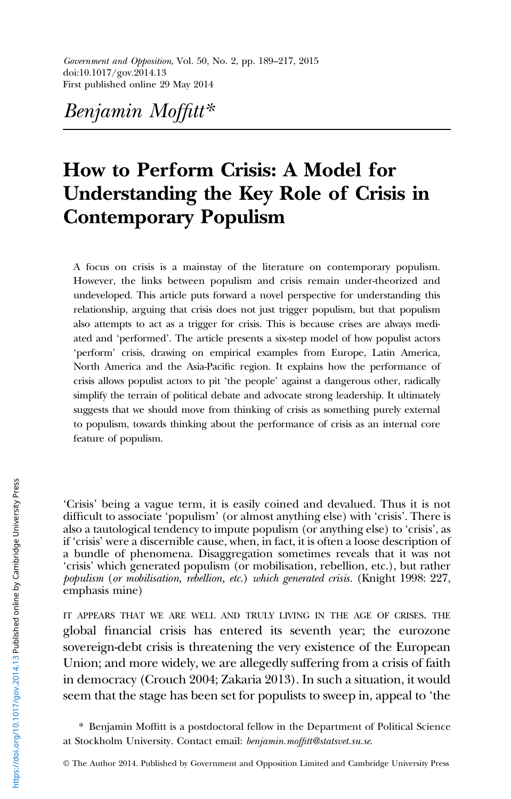Government and Opposition, Vol. 50, No. 2, pp. 189–217, 2015 doi:10.1017/gov.2014.13 First published online 29 May 2014

# Benjamin Moffitt\*

# How to Perform Crisis: A Model for Understanding the Key Role of Crisis in Contemporary Populism

A focus on crisis is a mainstay of the literature on contemporary populism. However, the links between populism and crisis remain under-theorized and undeveloped. This article puts forward a novel perspective for understanding this relationship, arguing that crisis does not just trigger populism, but that populism also attempts to act as a trigger for crisis. This is because crises are always mediated and 'performed'. The article presents a six-step model of how populist actors 'perform' crisis, drawing on empirical examples from Europe, Latin America, North America and the Asia-Pacific region. It explains how the performance of crisis allows populist actors to pit 'the people' against a dangerous other, radically simplify the terrain of political debate and advocate strong leadership. It ultimately suggests that we should move from thinking of crisis as something purely external to populism, towards thinking about the performance of crisis as an internal core feature of populism.

'Crisis' being a vague term, it is easily coined and devalued. Thus it is not difficult to associate 'populism' (or almost anything else) with 'crisis'. There is also a tautological tendency to impute populism (or anything else) to 'crisis', as if 'crisis' were a discernible cause, when, in fact, it is often a loose description of a bundle of phenomena. Disaggregation sometimes reveals that it was not 'crisis' which generated populism (or mobilisation, rebellion, etc.), but rather populism (or mobilisation, rebellion, etc.) which generated crisis. (Knight [1998](#page-25-0): 227, emphasis mine)

IT APPEARS THAT WE ARE WELL AND TRULY LIVING IN THE AGE OF CRISES. THE global financial crisis has entered its seventh year; the eurozone sovereign-debt crisis is threatening the very existence of the European Union; and more widely, we are allegedly suffering from a crisis of faith in democracy (Crouch [2004;](#page-24-0) Zakaria [2013\)](#page-28-0). In such a situation, it would seem that the stage has been set for populists to sweep in, appeal to 'the

\* Benjamin Moffitt is a postdoctoral fellow in the Department of Political Science at Stockholm University. Contact email: benjamin.moffitt@statsvet.su.se.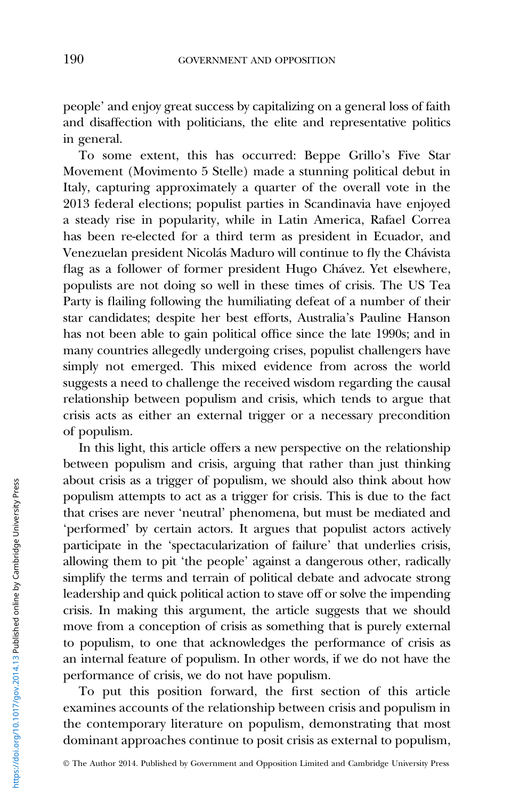people' and enjoy great success by capitalizing on a general loss of faith and disaffection with politicians, the elite and representative politics in general.

To some extent, this has occurred: Beppe Grillo's Five Star Movement (Movimento 5 Stelle) made a stunning political debut in Italy, capturing approximately a quarter of the overall vote in the 2013 federal elections; populist parties in Scandinavia have enjoyed a steady rise in popularity, while in Latin America, Rafael Correa has been re-elected for a third term as president in Ecuador, and Venezuelan president Nicolás Maduro will continue to fly the Chávista flag as a follower of former president Hugo Chávez. Yet elsewhere, populists are not doing so well in these times of crisis. The US Tea Party is flailing following the humiliating defeat of a number of their star candidates; despite her best efforts, Australia's Pauline Hanson has not been able to gain political office since the late 1990s; and in many countries allegedly undergoing crises, populist challengers have simply not emerged. This mixed evidence from across the world suggests a need to challenge the received wisdom regarding the causal relationship between populism and crisis, which tends to argue that crisis acts as either an external trigger or a necessary precondition of populism.

In this light, this article offers a new perspective on the relationship between populism and crisis, arguing that rather than just thinking about crisis as a trigger of populism, we should also think about how populism attempts to act as a trigger for crisis. This is due to the fact that crises are never 'neutral' phenomena, but must be mediated and 'performed' by certain actors. It argues that populist actors actively participate in the 'spectacularization of failure' that underlies crisis, allowing them to pit 'the people' against a dangerous other, radically simplify the terms and terrain of political debate and advocate strong leadership and quick political action to stave off or solve the impending crisis. In making this argument, the article suggests that we should move from a conception of crisis as something that is purely external to populism, to one that acknowledges the performance of crisis as an internal feature of populism. In other words, if we do not have the performance of crisis, we do not have populism.

To put this position forward, the first section of this article examines accounts of the relationship between crisis and populism in the contemporary literature on populism, demonstrating that most dominant approaches continue to posit crisis as external to populism,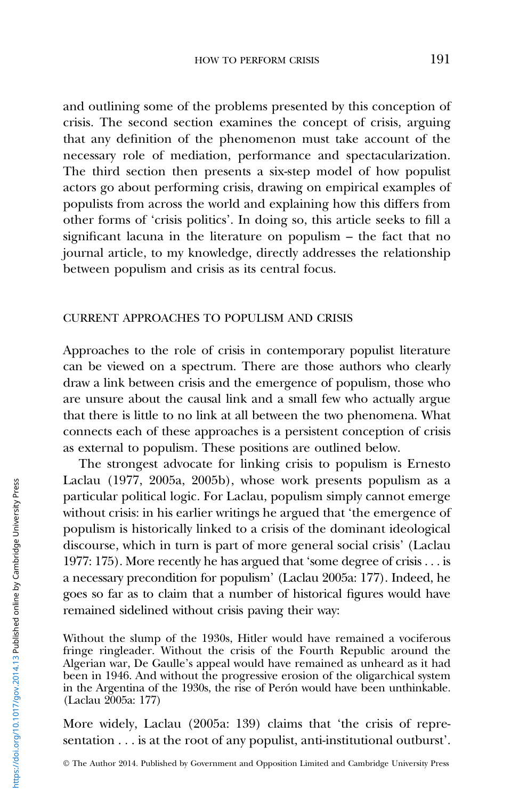and outlining some of the problems presented by this conception of crisis. The second section examines the concept of crisis, arguing that any definition of the phenomenon must take account of the necessary role of mediation, performance and spectacularization. The third section then presents a six-step model of how populist actors go about performing crisis, drawing on empirical examples of populists from across the world and explaining how this differs from other forms of 'crisis politics'. In doing so, this article seeks to fill a significant lacuna in the literature on populism – the fact that no journal article, to my knowledge, directly addresses the relationship between populism and crisis as its central focus.

# CURRENT APPROACHES TO POPULISM AND CRISIS

Approaches to the role of crisis in contemporary populist literature can be viewed on a spectrum. There are those authors who clearly draw a link between crisis and the emergence of populism, those who are unsure about the causal link and a small few who actually argue that there is little to no link at all between the two phenomena. What connects each of these approaches is a persistent conception of crisis as external to populism. These positions are outlined below.

The strongest advocate for linking crisis to populism is Ernesto Laclau [\(1977, 2005a](#page-25-0), [2005b\)](#page-25-0), whose work presents populism as a particular political logic. For Laclau, populism simply cannot emerge without crisis: in his earlier writings he argued that 'the emergence of populism is historically linked to a crisis of the dominant ideological discourse, which in turn is part of more general social crisis' (Laclau [1977:](#page-25-0) 175). More recently he has argued that 'some degree of crisis . . . is a necessary precondition for populism' (Laclau [2005a:](#page-25-0) 177). Indeed, he goes so far as to claim that a number of historical figures would have remained sidelined without crisis paving their way:

Without the slump of the 1930s, Hitler would have remained a vociferous fringe ringleader. Without the crisis of the Fourth Republic around the Algerian war, De Gaulle's appeal would have remained as unheard as it had been in 1946. And without the progressive erosion of the oligarchical system in the Argentina of the 1930s, the rise of Perón would have been unthinkable. (Laclau [2005a](#page-25-0): 177)

More widely, Laclau [\(2005a](#page-25-0): 139) claims that 'the crisis of representation . . . is at the root of any populist, anti-institutional outburst'.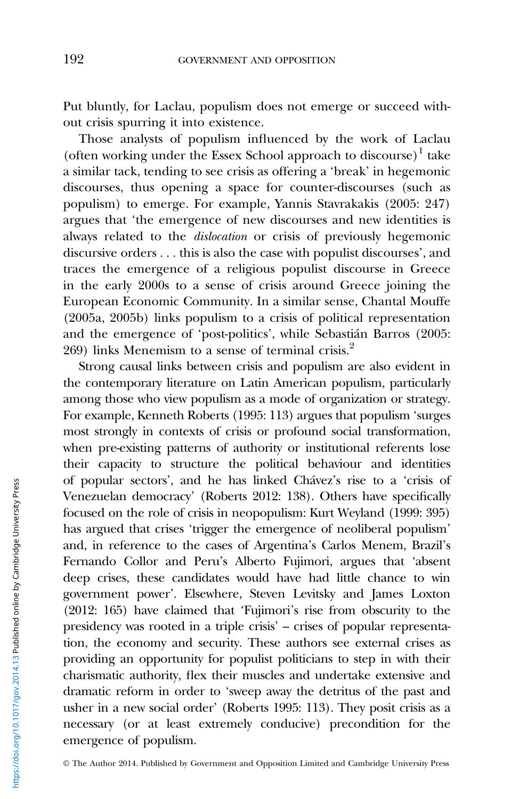Put bluntly, for Laclau, populism does not emerge or succeed without crisis spurring it into existence.

Those analysts of populism influenced by the work of Laclau (often working under the Essex School approach to discourse)<sup>1</sup> take a similar tack, tending to see crisis as offering a 'break' in hegemonic discourses, thus opening a space for counter-discourses (such as populism) to emerge. For example, Yannis Stavrakakis ([2005:](#page-27-0) 247) argues that 'the emergence of new discourses and new identities is always related to the dislocation or crisis of previously hegemonic discursive orders . . . this is also the case with populist discourses', and traces the emergence of a religious populist discourse in Greece in the early 2000s to a sense of crisis around Greece joining the European Economic Community. In a similar sense, Chantal Mouffe ([2005a, 2005b\)](#page-26-0) links populism to a crisis of political representation and the emergence of 'post-politics', while Sebastián Barros [\(2005:](#page-24-0) 269) links Menemism to a sense of terminal crisis.<sup>2</sup>

Strong causal links between crisis and populism are also evident in the contemporary literature on Latin American populism, particularly among those who view populism as a mode of organization or strategy. For example, Kenneth Roberts ([1995:](#page-26-0) 113) argues that populism 'surges most strongly in contexts of crisis or profound social transformation, when pre-existing patterns of authority or institutional referents lose their capacity to structure the political behaviour and identities of popular sectors', and he has linked Chávez's rise to a 'crisis of Venezuelan democracy' (Roberts [2012:](#page-26-0) 138). Others have specifically focused on the role of crisis in neopopulism: Kurt Weyland [\(1999](#page-28-0): 395) has argued that crises 'trigger the emergence of neoliberal populism' and, in reference to the cases of Argentina's Carlos Menem, Brazil's Fernando Collor and Peru's Alberto Fujimori, argues that 'absent deep crises, these candidates would have had little chance to win government power'. Elsewhere, Steven Levitsky and James Loxton [\(2012](#page-25-0): 165) have claimed that 'Fujimori's rise from obscurity to the presidency was rooted in a triple crisis' – crises of popular representation, the economy and security. These authors see external crises as providing an opportunity for populist politicians to step in with their charismatic authority, flex their muscles and undertake extensive and dramatic reform in order to 'sweep away the detritus of the past and usher in a new social order' (Roberts [1995:](#page-26-0) 113). They posit crisis as a necessary (or at least extremely conducive) precondition for the emergence of populism.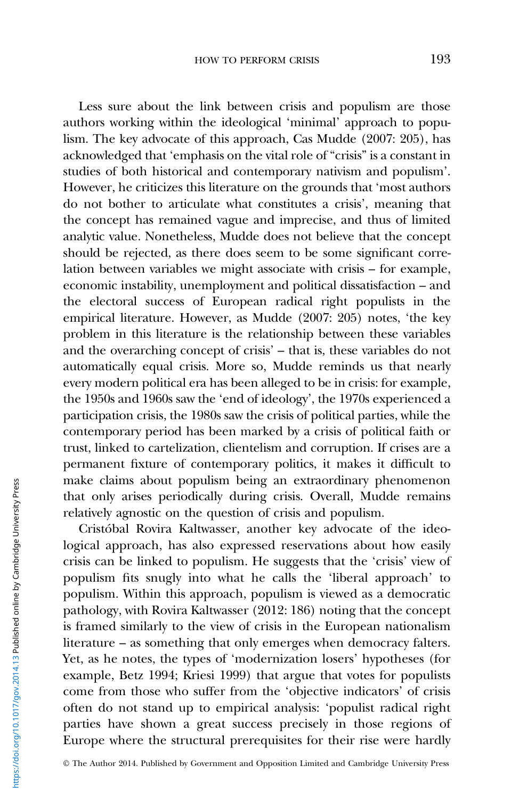Less sure about the link between crisis and populism are those authors working within the ideological 'minimal' approach to populism. The key advocate of this approach, Cas Mudde ([2007:](#page-26-0) 205), has acknowledged that 'emphasis on the vital role of "crisis" is a constant in studies of both historical and contemporary nativism and populism'. However, he criticizes this literature on the grounds that 'most authors do not bother to articulate what constitutes a crisis', meaning that the concept has remained vague and imprecise, and thus of limited analytic value. Nonetheless, Mudde does not believe that the concept should be rejected, as there does seem to be some significant correlation between variables we might associate with crisis – for example, economic instability, unemployment and political dissatisfaction – and the electoral success of European radical right populists in the empirical literature. However, as Mudde [\(2007:](#page-26-0) 205) notes, 'the key problem in this literature is the relationship between these variables and the overarching concept of crisis' – that is, these variables do not automatically equal crisis. More so, Mudde reminds us that nearly every modern political era has been alleged to be in crisis: for example, the 1950s and 1960s saw the 'end of ideology', the 1970s experienced a participation crisis, the 1980s saw the crisis of political parties, while the contemporary period has been marked by a crisis of political faith or trust, linked to cartelization, clientelism and corruption. If crises are a permanent fixture of contemporary politics, it makes it difficult to make claims about populism being an extraordinary phenomenon that only arises periodically during crisis. Overall, Mudde remains relatively agnostic on the question of crisis and populism.

Cristóbal Rovira Kaltwasser, another key advocate of the ideological approach, has also expressed reservations about how easily crisis can be linked to populism. He suggests that the 'crisis' view of populism fits snugly into what he calls the 'liberal approach' to populism. Within this approach, populism is viewed as a democratic pathology, with Rovira Kaltwasser [\(2012:](#page-26-0) 186) noting that the concept is framed similarly to the view of crisis in the European nationalism literature – as something that only emerges when democracy falters. Yet, as he notes, the types of 'modernization losers' hypotheses (for example, Betz [1994;](#page-24-0) Kriesi [1999](#page-25-0)) that argue that votes for populists come from those who suffer from the 'objective indicators' of crisis often do not stand up to empirical analysis: 'populist radical right parties have shown a great success precisely in those regions of Europe where the structural prerequisites for their rise were hardly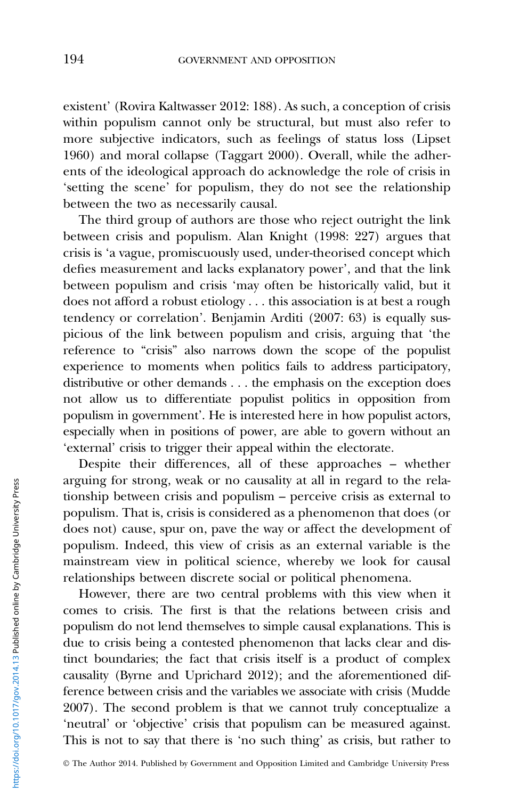existent' (Rovira Kaltwasser [2012:](#page-26-0) 188). As such, a conception of crisis within populism cannot only be structural, but must also refer to more subjective indicators, such as feelings of status loss (Lipset [1960\)](#page-25-0) and moral collapse (Taggart [2000\)](#page-27-0). Overall, while the adherents of the ideological approach do acknowledge the role of crisis in 'setting the scene' for populism, they do not see the relationship between the two as necessarily causal.

The third group of authors are those who reject outright the link between crisis and populism. Alan Knight [\(1998:](#page-25-0) 227) argues that crisis is 'a vague, promiscuously used, under-theorised concept which defies measurement and lacks explanatory power', and that the link between populism and crisis 'may often be historically valid, but it does not afford a robust etiology . . . this association is at best a rough tendency or correlation'. Benjamin Arditi [\(2007:](#page-23-0) 63) is equally suspicious of the link between populism and crisis, arguing that 'the reference to "crisis" also narrows down the scope of the populist experience to moments when politics fails to address participatory, distributive or other demands . . . the emphasis on the exception does not allow us to differentiate populist politics in opposition from populism in government'. He is interested here in how populist actors, especially when in positions of power, are able to govern without an 'external' crisis to trigger their appeal within the electorate.

Despite their differences, all of these approaches – whether arguing for strong, weak or no causality at all in regard to the relationship between crisis and populism – perceive crisis as external to populism. That is, crisis is considered as a phenomenon that does (or does not) cause, spur on, pave the way or affect the development of populism. Indeed, this view of crisis as an external variable is the mainstream view in political science, whereby we look for causal relationships between discrete social or political phenomena.

However, there are two central problems with this view when it comes to crisis. The first is that the relations between crisis and populism do not lend themselves to simple causal explanations. This is due to crisis being a contested phenomenon that lacks clear and distinct boundaries; the fact that crisis itself is a product of complex causality (Byrne and Uprichard [2012\)](#page-24-0); and the aforementioned difference between crisis and the variables we associate with crisis (Mudde [2007](#page-26-0)). The second problem is that we cannot truly conceptualize a 'neutral' or 'objective' crisis that populism can be measured against. This is not to say that there is 'no such thing' as crisis, but rather to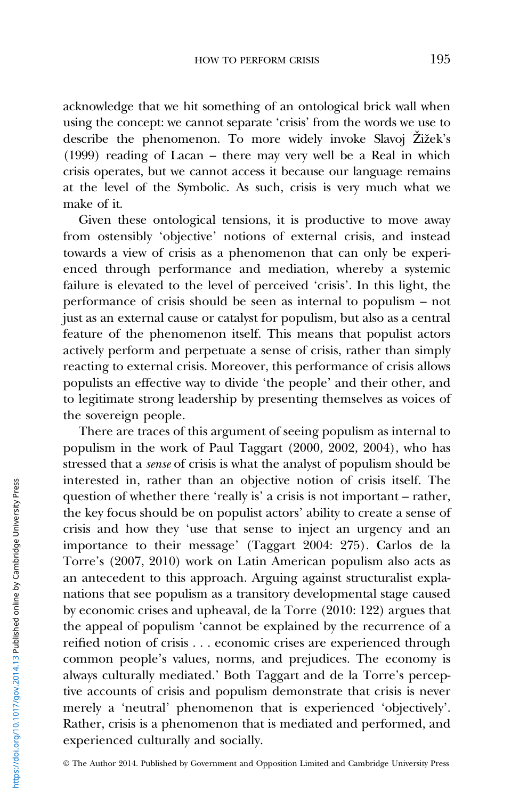acknowledge that we hit something of an ontological brick wall when using the concept: we cannot separate 'crisis' from the words we use to describe the phenomenon. To more widely invoke Slavoj Žižek's ([1999](#page-28-0)) reading of Lacan – there may very well be a Real in which crisis operates, but we cannot access it because our language remains at the level of the Symbolic. As such, crisis is very much what we make of it.

Given these ontological tensions, it is productive to move away from ostensibly 'objective' notions of external crisis, and instead towards a view of crisis as a phenomenon that can only be experienced through performance and mediation, whereby a systemic failure is elevated to the level of perceived 'crisis'. In this light, the performance of crisis should be seen as internal to populism – not just as an external cause or catalyst for populism, but also as a central feature of the phenomenon itself. This means that populist actors actively perform and perpetuate a sense of crisis, rather than simply reacting to external crisis. Moreover, this performance of crisis allows populists an effective way to divide 'the people' and their other, and to legitimate strong leadership by presenting themselves as voices of the sovereign people.

There are traces of this argument of seeing populism as internal to populism in the work of Paul Taggart ([2000, 2002, 2004\)](#page-27-0), who has stressed that a sense of crisis is what the analyst of populism should be interested in, rather than an objective notion of crisis itself. The question of whether there 'really is' a crisis is not important – rather, the key focus should be on populist actors' ability to create a sense of crisis and how they 'use that sense to inject an urgency and an importance to their message' (Taggart [2004](#page-27-0): 275). Carlos de la Torre's ([2007, 2010](#page-27-0)) work on Latin American populism also acts as an antecedent to this approach. Arguing against structuralist explanations that see populism as a transitory developmental stage caused by economic crises and upheaval, de la Torre ([2010](#page-27-0): 122) argues that the appeal of populism 'cannot be explained by the recurrence of a reified notion of crisis . . . economic crises are experienced through common people's values, norms, and prejudices. The economy is always culturally mediated.' Both Taggart and de la Torre's perceptive accounts of crisis and populism demonstrate that crisis is never merely a 'neutral' phenomenon that is experienced 'objectively'. Rather, crisis is a phenomenon that is mediated and performed, and experienced culturally and socially.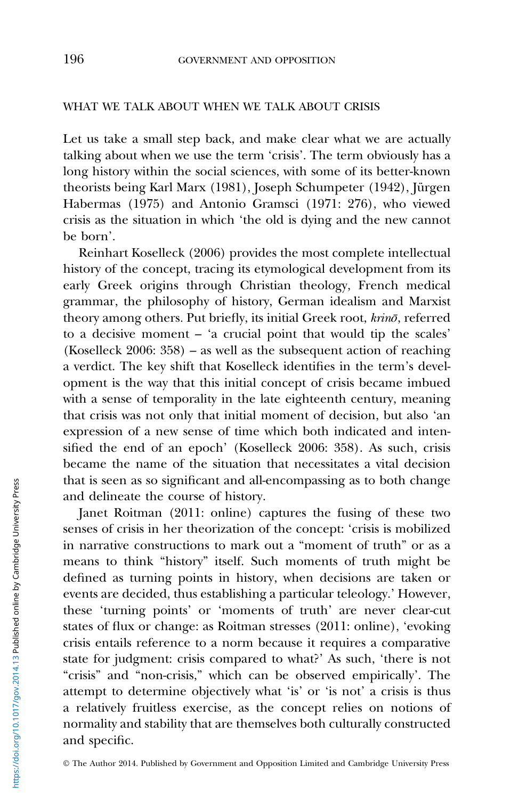# WHAT WE TALK ABOUT WHEN WE TALK ABOUT CRISIS

Let us take a small step back, and make clear what we are actually talking about when we use the term 'crisis'. The term obviously has a long history within the social sciences, with some of its better-known theorists being Karl Marx ([1981](#page-25-0)), Joseph Schumpeter [\(1942\)](#page-26-0), Jürgen Habermas ([1975](#page-24-0)) and Antonio Gramsci [\(1971:](#page-24-0) 276), who viewed crisis as the situation in which 'the old is dying and the new cannot be born'.

Reinhart Koselleck [\(2006\)](#page-25-0) provides the most complete intellectual history of the concept, tracing its etymological development from its early Greek origins through Christian theology, French medical grammar, the philosophy of history, German idealism and Marxist theory among others. Put briefly, its initial Greek root, krinō, referred to a decisive moment – 'a crucial point that would tip the scales' (Koselleck [2006:](#page-25-0) 358) – as well as the subsequent action of reaching a verdict. The key shift that Koselleck identifies in the term's development is the way that this initial concept of crisis became imbued with a sense of temporality in the late eighteenth century, meaning that crisis was not only that initial moment of decision, but also 'an expression of a new sense of time which both indicated and intensified the end of an epoch' (Koselleck [2006:](#page-25-0) 358). As such, crisis became the name of the situation that necessitates a vital decision that is seen as so significant and all-encompassing as to both change and delineate the course of history.

Janet Roitman ([2011:](#page-26-0) online) captures the fusing of these two senses of crisis in her theorization of the concept: 'crisis is mobilized in narrative constructions to mark out a "moment of truth" or as a means to think "history" itself. Such moments of truth might be defined as turning points in history, when decisions are taken or events are decided, thus establishing a particular teleology.' However, these 'turning points' or 'moments of truth' are never clear-cut states of flux or change: as Roitman stresses [\(2011:](#page-26-0) online), 'evoking crisis entails reference to a norm because it requires a comparative state for judgment: crisis compared to what?' As such, 'there is not "crisis" and "non-crisis," which can be observed empirically'. The attempt to determine objectively what 'is' or 'is not' a crisis is thus a relatively fruitless exercise, as the concept relies on notions of normality and stability that are themselves both culturally constructed and specific.

<sup>©</sup> The Author 2014. Published by Government and Opposition Limited and Cambridge University Press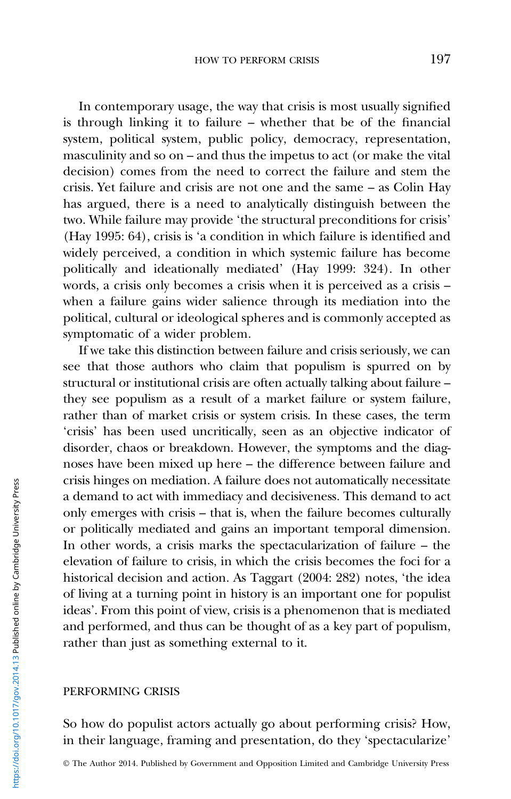In contemporary usage, the way that crisis is most usually signified is through linking it to failure – whether that be of the financial system, political system, public policy, democracy, representation, masculinity and so on – and thus the impetus to act (or make the vital decision) comes from the need to correct the failure and stem the crisis. Yet failure and crisis are not one and the same – as Colin Hay has argued, there is a need to analytically distinguish between the two. While failure may provide 'the structural preconditions for crisis' (Hay [1995:](#page-24-0) 64), crisis is 'a condition in which failure is identified and widely perceived, a condition in which systemic failure has become politically and ideationally mediated' (Hay [1999](#page-24-0): 324). In other words, a crisis only becomes a crisis when it is perceived as a crisis – when a failure gains wider salience through its mediation into the political, cultural or ideological spheres and is commonly accepted as symptomatic of a wider problem.

If we take this distinction between failure and crisis seriously, we can see that those authors who claim that populism is spurred on by structural or institutional crisis are often actually talking about failure – they see populism as a result of a market failure or system failure, rather than of market crisis or system crisis. In these cases, the term 'crisis' has been used uncritically, seen as an objective indicator of disorder, chaos or breakdown. However, the symptoms and the diagnoses have been mixed up here – the difference between failure and crisis hinges on mediation. A failure does not automatically necessitate a demand to act with immediacy and decisiveness. This demand to act only emerges with crisis – that is, when the failure becomes culturally or politically mediated and gains an important temporal dimension. In other words, a crisis marks the spectacularization of failure – the elevation of failure to crisis, in which the crisis becomes the foci for a historical decision and action. As Taggart ([2004:](#page-27-0) 282) notes, 'the idea of living at a turning point in history is an important one for populist ideas'. From this point of view, crisis is a phenomenon that is mediated and performed, and thus can be thought of as a key part of populism, rather than just as something external to it.

#### PERFORMING CRISIS

So how do populist actors actually go about performing crisis? How, in their language, framing and presentation, do they 'spectacularize'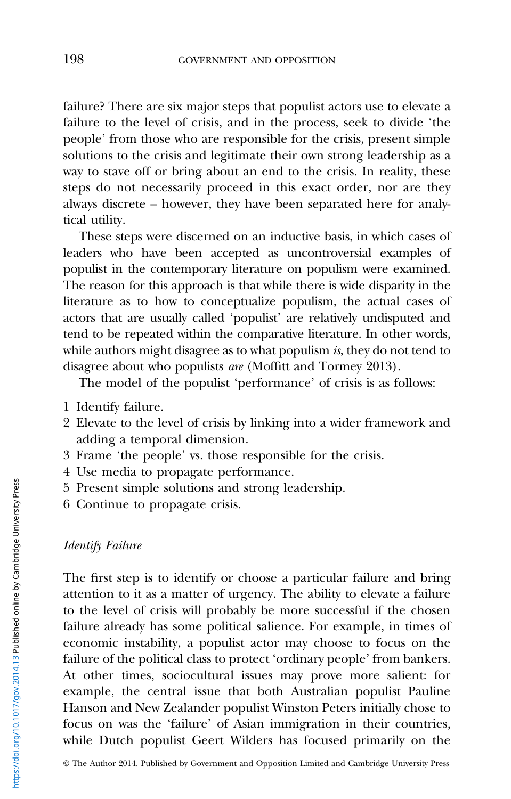failure? There are six major steps that populist actors use to elevate a failure to the level of crisis, and in the process, seek to divide 'the people' from those who are responsible for the crisis, present simple solutions to the crisis and legitimate their own strong leadership as a way to stave off or bring about an end to the crisis. In reality, these steps do not necessarily proceed in this exact order, nor are they always discrete – however, they have been separated here for analytical utility.

These steps were discerned on an inductive basis, in which cases of leaders who have been accepted as uncontroversial examples of populist in the contemporary literature on populism were examined. The reason for this approach is that while there is wide disparity in the literature as to how to conceptualize populism, the actual cases of actors that are usually called 'populist' are relatively undisputed and tend to be repeated within the comparative literature. In other words, while authors might disagree as to what populism *is*, they do not tend to disagree about who populists are (Moffitt and Tormey [2013](#page-25-0)).

The model of the populist 'performance' of crisis is as follows:

- 1 Identify failure.
- 2 Elevate to the level of crisis by linking into a wider framework and adding a temporal dimension.
- 3 Frame 'the people' vs. those responsible for the crisis.
- 4 Use media to propagate performance.
- 5 Present simple solutions and strong leadership.
- 6 Continue to propagate crisis.

# Identify Failure

The first step is to identify or choose a particular failure and bring attention to it as a matter of urgency. The ability to elevate a failure to the level of crisis will probably be more successful if the chosen failure already has some political salience. For example, in times of economic instability, a populist actor may choose to focus on the failure of the political class to protect 'ordinary people' from bankers. At other times, sociocultural issues may prove more salient: for example, the central issue that both Australian populist Pauline Hanson and New Zealander populist Winston Peters initially chose to focus on was the 'failure' of Asian immigration in their countries, while Dutch populist Geert Wilders has focused primarily on the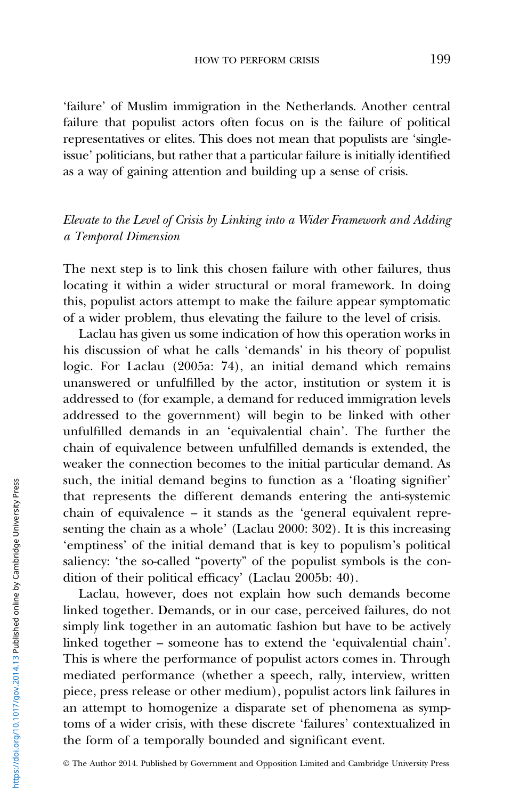'failure' of Muslim immigration in the Netherlands. Another central failure that populist actors often focus on is the failure of political representatives or elites. This does not mean that populists are 'singleissue' politicians, but rather that a particular failure is initially identified as a way of gaining attention and building up a sense of crisis.

# Elevate to the Level of Crisis by Linking into a Wider Framework and Adding a Temporal Dimension

The next step is to link this chosen failure with other failures, thus locating it within a wider structural or moral framework. In doing this, populist actors attempt to make the failure appear symptomatic of a wider problem, thus elevating the failure to the level of crisis.

Laclau has given us some indication of how this operation works in his discussion of what he calls 'demands' in his theory of populist logic. For Laclau ([2005a](#page-25-0): 74), an initial demand which remains unanswered or unfulfilled by the actor, institution or system it is addressed to (for example, a demand for reduced immigration levels addressed to the government) will begin to be linked with other unfulfilled demands in an 'equivalential chain'. The further the chain of equivalence between unfulfilled demands is extended, the weaker the connection becomes to the initial particular demand. As such, the initial demand begins to function as a 'floating signifier' that represents the different demands entering the anti-systemic chain of equivalence – it stands as the 'general equivalent representing the chain as a whole' (Laclau [2000](#page-25-0): 302). It is this increasing 'emptiness' of the initial demand that is key to populism's political saliency: 'the so-called "poverty" of the populist symbols is the condition of their political efficacy' (Laclau [2005b:](#page-25-0) 40).

Laclau, however, does not explain how such demands become linked together. Demands, or in our case, perceived failures, do not simply link together in an automatic fashion but have to be actively linked together – someone has to extend the 'equivalential chain'. This is where the performance of populist actors comes in. Through mediated performance (whether a speech, rally, interview, written piece, press release or other medium), populist actors link failures in an attempt to homogenize a disparate set of phenomena as symptoms of a wider crisis, with these discrete 'failures' contextualized in the form of a temporally bounded and significant event.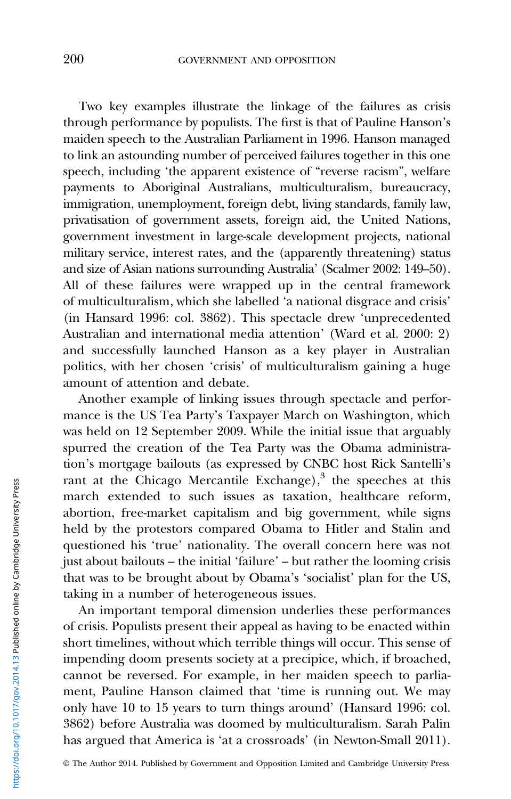Two key examples illustrate the linkage of the failures as crisis through performance by populists. The first is that of Pauline Hanson's maiden speech to the Australian Parliament in 1996. Hanson managed to link an astounding number of perceived failures together in this one speech, including 'the apparent existence of "reverse racism", welfare payments to Aboriginal Australians, multiculturalism, bureaucracy, immigration, unemployment, foreign debt, living standards, family law, privatisation of government assets, foreign aid, the United Nations, government investment in large-scale development projects, national military service, interest rates, and the (apparently threatening) status and size of Asian nations surrounding Australia' (Scalmer [2002:](#page-26-0) 149–50). All of these failures were wrapped up in the central framework of multiculturalism, which she labelled 'a national disgrace and crisis' (in Hansard [1996:](#page-24-0) col. 3862). This spectacle drew 'unprecedented Australian and international media attention' (Ward et al. [2000](#page-27-0): 2) and successfully launched Hanson as a key player in Australian politics, with her chosen 'crisis' of multiculturalism gaining a huge amount of attention and debate.

Another example of linking issues through spectacle and performance is the US Tea Party's Taxpayer March on Washington, which was held on 12 September 2009. While the initial issue that arguably spurred the creation of the Tea Party was the Obama administration's mortgage bailouts (as expressed by CNBC host Rick Santelli's rant at the Chicago Mercantile Exchange), $3$  the speeches at this march extended to such issues as taxation, healthcare reform, abortion, free-market capitalism and big government, while signs held by the protestors compared Obama to Hitler and Stalin and questioned his 'true' nationality. The overall concern here was not just about bailouts – the initial 'failure' – but rather the looming crisis that was to be brought about by Obama's 'socialist' plan for the US, taking in a number of heterogeneous issues.

An important temporal dimension underlies these performances of crisis. Populists present their appeal as having to be enacted within short timelines, without which terrible things will occur. This sense of impending doom presents society at a precipice, which, if broached, cannot be reversed. For example, in her maiden speech to parliament, Pauline Hanson claimed that 'time is running out. We may only have 10 to 15 years to turn things around' (Hansard [1996:](#page-24-0) col. 3862) before Australia was doomed by multiculturalism. Sarah Palin has argued that America is 'at a crossroads' (in Newton-Small [2011](#page-26-0)).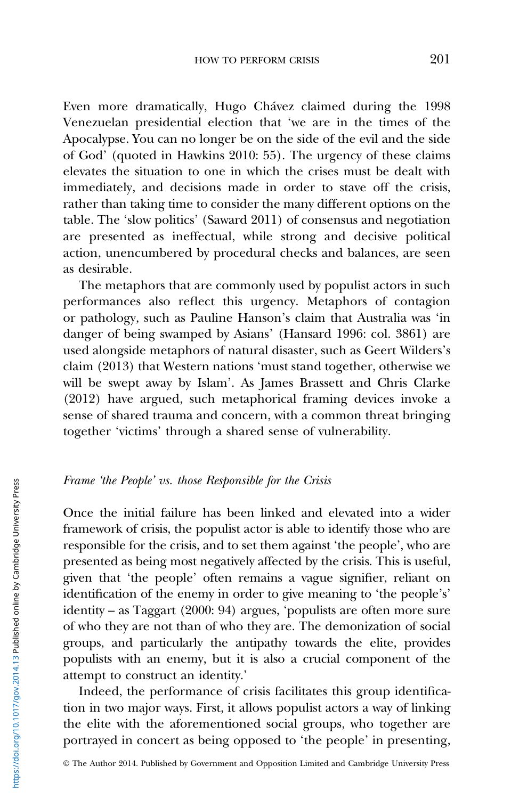Even more dramatically, Hugo Chávez claimed during the 1998 Venezuelan presidential election that 'we are in the times of the Apocalypse. You can no longer be on the side of the evil and the side of God' (quoted in Hawkins [2010:](#page-24-0) 55). The urgency of these claims elevates the situation to one in which the crises must be dealt with immediately, and decisions made in order to stave off the crisis, rather than taking time to consider the many different options on the table. The 'slow politics' (Saward [2011\)](#page-26-0) of consensus and negotiation are presented as ineffectual, while strong and decisive political action, unencumbered by procedural checks and balances, are seen as desirable.

The metaphors that are commonly used by populist actors in such performances also reflect this urgency. Metaphors of contagion or pathology, such as Pauline Hanson's claim that Australia was 'in danger of being swamped by Asians' (Hansard [1996](#page-24-0): col. 3861) are used alongside metaphors of natural disaster, such as Geert Wilders's claim (2013) that Western nations 'must stand together, otherwise we will be swept away by Islam'. As James Brassett and Chris Clarke ([2012](#page-24-0)) have argued, such metaphorical framing devices invoke a sense of shared trauma and concern, with a common threat bringing together 'victims' through a shared sense of vulnerability.

# Frame 'the People' vs. those Responsible for the Crisis

Once the initial failure has been linked and elevated into a wider framework of crisis, the populist actor is able to identify those who are responsible for the crisis, and to set them against 'the people', who are presented as being most negatively affected by the crisis. This is useful, given that 'the people' often remains a vague signifier, reliant on identification of the enemy in order to give meaning to 'the people's' identity – as Taggart ([2000:](#page-27-0) 94) argues, 'populists are often more sure of who they are not than of who they are. The demonization of social groups, and particularly the antipathy towards the elite, provides populists with an enemy, but it is also a crucial component of the attempt to construct an identity.'

Indeed, the performance of crisis facilitates this group identification in two major ways. First, it allows populist actors a way of linking the elite with the aforementioned social groups, who together are portrayed in concert as being opposed to 'the people' in presenting,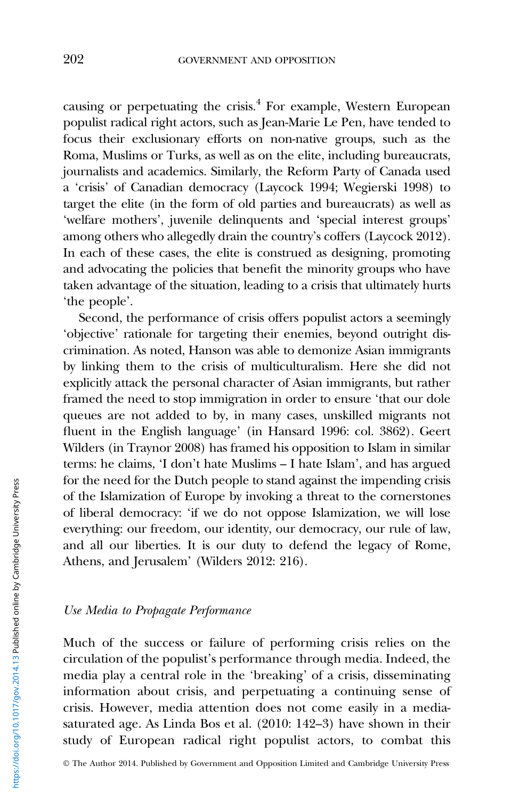causing or perpetuating the crisis.<sup>4</sup> For example, Western European populist radical right actors, such as Jean-Marie Le Pen, have tended to focus their exclusionary efforts on non-native groups, such as the Roma, Muslims or Turks, as well as on the elite, including bureaucrats, journalists and academics. Similarly, the Reform Party of Canada used a 'crisis' of Canadian democracy (Laycock [1994;](#page-25-0) Wegierski [1998](#page-28-0)) to target the elite (in the form of old parties and bureaucrats) as well as 'welfare mothers', juvenile delinquents and 'special interest groups' among others who allegedly drain the country's coffers (Laycock [2012\)](#page-25-0). In each of these cases, the elite is construed as designing, promoting and advocating the policies that benefit the minority groups who have taken advantage of the situation, leading to a crisis that ultimately hurts 'the people'.

Second, the performance of crisis offers populist actors a seemingly 'objective' rationale for targeting their enemies, beyond outright discrimination. As noted, Hanson was able to demonize Asian immigrants by linking them to the crisis of multiculturalism. Here she did not explicitly attack the personal character of Asian immigrants, but rather framed the need to stop immigration in order to ensure 'that our dole queues are not added to by, in many cases, unskilled migrants not fluent in the English language' (in Hansard [1996](#page-24-0): col. 3862). Geert Wilders (in Traynor [2008\)](#page-27-0) has framed his opposition to Islam in similar terms: he claims, 'I don't hate Muslims – I hate Islam', and has argued for the need for the Dutch people to stand against the impending crisis of the Islamization of Europe by invoking a threat to the cornerstones of liberal democracy: 'if we do not oppose Islamization, we will lose everything: our freedom, our identity, our democracy, our rule of law, and all our liberties. It is our duty to defend the legacy of Rome, Athens, and Jerusalem' (Wilders [2012:](#page-28-0) 216).

#### Use Media to Propagate Performance

Much of the success or failure of performing crisis relies on the circulation of the populist's performance through media. Indeed, the media play a central role in the 'breaking' of a crisis, disseminating information about crisis, and perpetuating a continuing sense of crisis. However, media attention does not come easily in a mediasaturated age. As Linda Bos et al. ([2010:](#page-24-0) 142–3) have shown in their study of European radical right populist actors, to combat this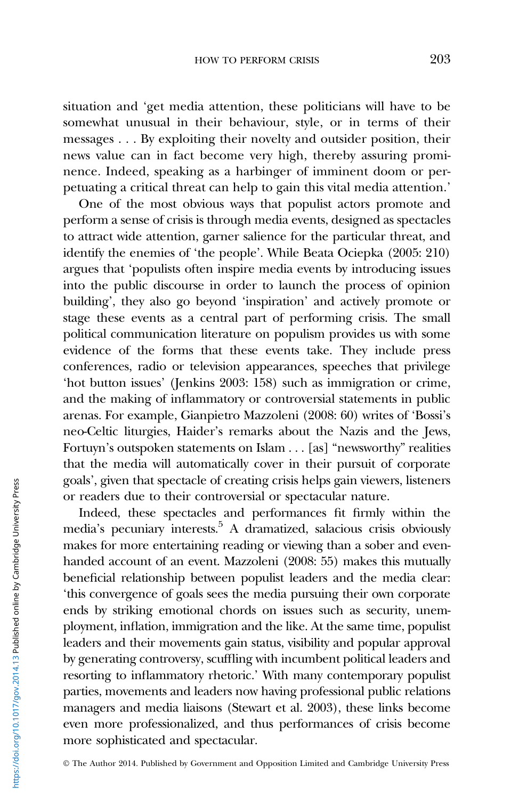situation and 'get media attention, these politicians will have to be somewhat unusual in their behaviour, style, or in terms of their messages . . . By exploiting their novelty and outsider position, their news value can in fact become very high, thereby assuring prominence. Indeed, speaking as a harbinger of imminent doom or perpetuating a critical threat can help to gain this vital media attention.'

One of the most obvious ways that populist actors promote and perform a sense of crisis is through media events, designed as spectacles to attract wide attention, garner salience for the particular threat, and identify the enemies of 'the people'. While Beata Ociepka ([2005:](#page-26-0) 210) argues that 'populists often inspire media events by introducing issues into the public discourse in order to launch the process of opinion building', they also go beyond 'inspiration' and actively promote or stage these events as a central part of performing crisis. The small political communication literature on populism provides us with some evidence of the forms that these events take. They include press conferences, radio or television appearances, speeches that privilege 'hot button issues' (Jenkins [2003:](#page-24-0) 158) such as immigration or crime, and the making of inflammatory or controversial statements in public arenas. For example, Gianpietro Mazzoleni ([2008:](#page-25-0) 60) writes of 'Bossi's neo-Celtic liturgies, Haider's remarks about the Nazis and the Jews, Fortuyn's outspoken statements on Islam . . . [as] "newsworthy" realities that the media will automatically cover in their pursuit of corporate goals', given that spectacle of creating crisis helps gain viewers, listeners or readers due to their controversial or spectacular nature.

Indeed, these spectacles and performances fit firmly within the media's pecuniary interests.5 A dramatized, salacious crisis obviously makes for more entertaining reading or viewing than a sober and evenhanded account of an event. Mazzoleni ([2008](#page-25-0): 55) makes this mutually beneficial relationship between populist leaders and the media clear: 'this convergence of goals sees the media pursuing their own corporate ends by striking emotional chords on issues such as security, unemployment, inflation, immigration and the like. At the same time, populist leaders and their movements gain status, visibility and popular approval by generating controversy, scuffling with incumbent political leaders and resorting to inflammatory rhetoric.' With many contemporary populist parties, movements and leaders now having professional public relations managers and media liaisons (Stewart et al. [2003\)](#page-27-0), these links become even more professionalized, and thus performances of crisis become more sophisticated and spectacular.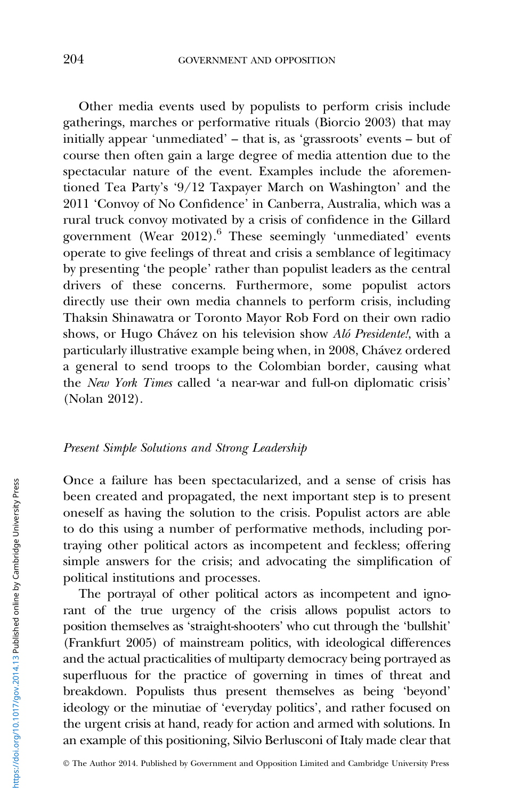Other media events used by populists to perform crisis include gatherings, marches or performative rituals (Biorcio [2003\)](#page-24-0) that may initially appear 'unmediated' – that is, as 'grassroots' events – but of course then often gain a large degree of media attention due to the spectacular nature of the event. Examples include the aforementioned Tea Party's '9/12 Taxpayer March on Washington' and the 2011 'Convoy of No Confidence' in Canberra, Australia, which was a rural truck convoy motivated by a crisis of confidence in the Gillard government (Wear  $2012$ ).<sup>6</sup> These seemingly 'unmediated' events operate to give feelings of threat and crisis a semblance of legitimacy by presenting 'the people' rather than populist leaders as the central drivers of these concerns. Furthermore, some populist actors directly use their own media channels to perform crisis, including Thaksin Shinawatra or Toronto Mayor Rob Ford on their own radio shows, or Hugo Chávez on his television show Aló Presidente!, with a particularly illustrative example being when, in 2008, Chávez ordered a general to send troops to the Colombian border, causing what the New York Times called 'a near-war and full-on diplomatic crisis' (Nolan [2012\)](#page-26-0).

# Present Simple Solutions and Strong Leadership

Once a failure has been spectacularized, and a sense of crisis has been created and propagated, the next important step is to present oneself as having the solution to the crisis. Populist actors are able to do this using a number of performative methods, including portraying other political actors as incompetent and feckless; offering simple answers for the crisis; and advocating the simplification of political institutions and processes.

The portrayal of other political actors as incompetent and ignorant of the true urgency of the crisis allows populist actors to position themselves as 'straight-shooters' who cut through the 'bullshit' (Frankfurt [2005](#page-24-0)) of mainstream politics, with ideological differences and the actual practicalities of multiparty democracy being portrayed as superfluous for the practice of governing in times of threat and breakdown. Populists thus present themselves as being 'beyond' ideology or the minutiae of 'everyday politics', and rather focused on the urgent crisis at hand, ready for action and armed with solutions. In an example of this positioning, Silvio Berlusconi of Italy made clear that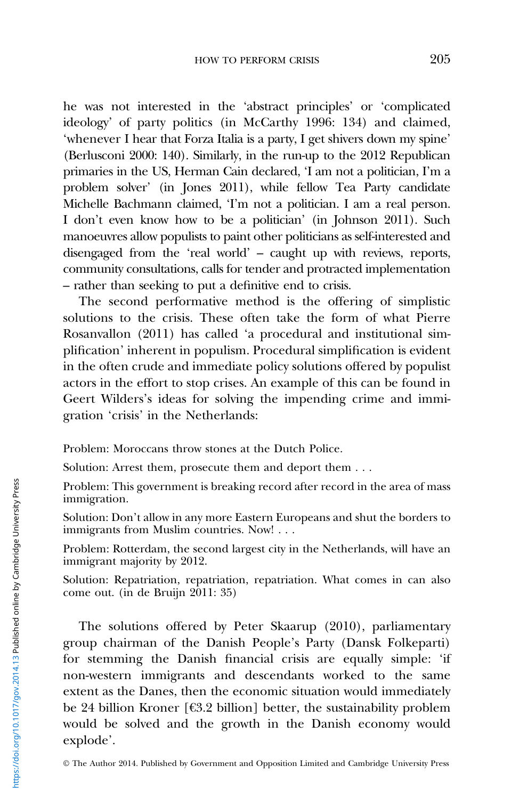he was not interested in the 'abstract principles' or 'complicated ideology' of party politics (in McCarthy [1996](#page-25-0): 134) and claimed, 'whenever I hear that Forza Italia is a party, I get shivers down my spine' (Berlusconi [2000](#page-24-0): 140). Similarly, in the run-up to the 2012 Republican primaries in the US, Herman Cain declared, 'I am not a politician, I'm a problem solver' (in Jones [2011](#page-25-0)), while fellow Tea Party candidate Michelle Bachmann claimed, 'I'm not a politician. I am a real person. I don't even know how to be a politician' (in Johnson [2011](#page-24-0)). Such manoeuvres allow populists to paint other politicians as self-interested and disengaged from the 'real world' – caught up with reviews, reports, community consultations, calls for tender and protracted implementation – rather than seeking to put a definitive end to crisis.

The second performative method is the offering of simplistic solutions to the crisis. These often take the form of what Pierre Rosanvallon [\(2011\)](#page-26-0) has called 'a procedural and institutional simplification' inherent in populism. Procedural simplification is evident in the often crude and immediate policy solutions offered by populist actors in the effort to stop crises. An example of this can be found in Geert Wilders's ideas for solving the impending crime and immigration 'crisis' in the Netherlands:

Problem: Moroccans throw stones at the Dutch Police.

Solution: Arrest them, prosecute them and deport them . . .

Problem: This government is breaking record after record in the area of mass immigration.

Solution: Don't allow in any more Eastern Europeans and shut the borders to immigrants from Muslim countries. Now! . . .

Problem: Rotterdam, the second largest city in the Netherlands, will have an immigrant majority by 2012.

Solution: Repatriation, repatriation, repatriation. What comes in can also come out. (in de Bruijn  $2011:35$ )

The solutions offered by Peter Skaarup [\(2010\)](#page-26-0), parliamentary group chairman of the Danish People's Party (Dansk Folkeparti) for stemming the Danish financial crisis are equally simple: 'if non-western immigrants and descendants worked to the same extent as the Danes, then the economic situation would immediately be 24 billion Kroner  $[63.2 \text{ billion}]$  better, the sustainability problem would be solved and the growth in the Danish economy would explode'.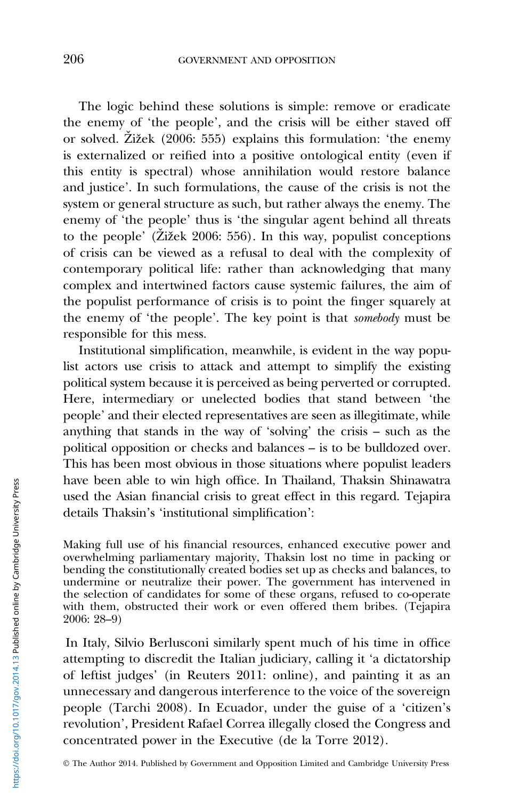The logic behind these solutions is simple: remove or eradicate the enemy of 'the people', and the crisis will be either staved off or solved. Žižek [\(2006](#page-28-0): 555) explains this formulation: 'the enemy is externalized or reified into a positive ontological entity (even if this entity is spectral) whose annihilation would restore balance and justice'. In such formulations, the cause of the crisis is not the system or general structure as such, but rather always the enemy. The enemy of 'the people' thus is 'the singular agent behind all threats to the people' (Žižek [2006](#page-28-0): 556). In this way, populist conceptions of crisis can be viewed as a refusal to deal with the complexity of contemporary political life: rather than acknowledging that many complex and intertwined factors cause systemic failures, the aim of the populist performance of crisis is to point the finger squarely at the enemy of 'the people'. The key point is that somebody must be responsible for this mess.

Institutional simplification, meanwhile, is evident in the way populist actors use crisis to attack and attempt to simplify the existing political system because it is perceived as being perverted or corrupted. Here, intermediary or unelected bodies that stand between 'the people' and their elected representatives are seen as illegitimate, while anything that stands in the way of 'solving' the crisis – such as the political opposition or checks and balances – is to be bulldozed over. This has been most obvious in those situations where populist leaders have been able to win high office. In Thailand, Thaksin Shinawatra used the Asian financial crisis to great effect in this regard. Tejapira details Thaksin's 'institutional simplification':

Making full use of his financial resources, enhanced executive power and overwhelming parliamentary majority, Thaksin lost no time in packing or bending the constitutionally created bodies set up as checks and balances, to undermine or neutralize their power. The government has intervened in the selection of candidates for some of these organs, refused to co-operate with them, obstructed their work or even offered them bribes. (Tejapira [2006:](#page-27-0) 28–9)

In Italy, Silvio Berlusconi similarly spent much of his time in office attempting to discredit the Italian judiciary, calling it 'a dictatorship of leftist judges' (in Reuters [2011](#page-26-0): online), and painting it as an unnecessary and dangerous interference to the voice of the sovereign people (Tarchi [2008](#page-27-0)). In Ecuador, under the guise of a 'citizen's revolution', President Rafael Correa illegally closed the Congress and concentrated power in the Executive (de la Torre [2012\)](#page-27-0).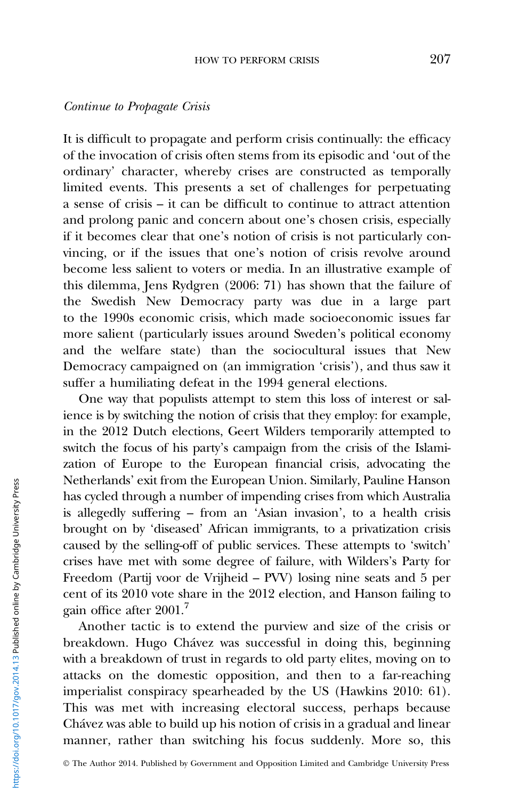#### Continue to Propagate Crisis

It is difficult to propagate and perform crisis continually: the efficacy of the invocation of crisis often stems from its episodic and 'out of the ordinary' character, whereby crises are constructed as temporally limited events. This presents a set of challenges for perpetuating a sense of crisis – it can be difficult to continue to attract attention and prolong panic and concern about one's chosen crisis, especially if it becomes clear that one's notion of crisis is not particularly convincing, or if the issues that one's notion of crisis revolve around become less salient to voters or media. In an illustrative example of this dilemma, Jens Rydgren ([2006](#page-26-0): 71) has shown that the failure of the Swedish New Democracy party was due in a large part to the 1990s economic crisis, which made socioeconomic issues far more salient (particularly issues around Sweden's political economy and the welfare state) than the sociocultural issues that New Democracy campaigned on (an immigration 'crisis'), and thus saw it suffer a humiliating defeat in the 1994 general elections.

One way that populists attempt to stem this loss of interest or salience is by switching the notion of crisis that they employ: for example, in the 2012 Dutch elections, Geert Wilders temporarily attempted to switch the focus of his party's campaign from the crisis of the Islamization of Europe to the European financial crisis, advocating the Netherlands' exit from the European Union. Similarly, Pauline Hanson has cycled through a number of impending crises from which Australia is allegedly suffering – from an 'Asian invasion', to a health crisis brought on by 'diseased' African immigrants, to a privatization crisis caused by the selling-off of public services. These attempts to 'switch' crises have met with some degree of failure, with Wilders's Party for Freedom (Partij voor de Vrijheid – PVV) losing nine seats and 5 per cent of its 2010 vote share in the 2012 election, and Hanson failing to gain office after 2001.7

Another tactic is to extend the purview and size of the crisis or breakdown. Hugo Chávez was successful in doing this, beginning with a breakdown of trust in regards to old party elites, moving on to attacks on the domestic opposition, and then to a far-reaching imperialist conspiracy spearheaded by the US (Hawkins [2010](#page-24-0): 61). This was met with increasing electoral success, perhaps because Chávez was able to build up his notion of crisis in a gradual and linear manner, rather than switching his focus suddenly. More so, this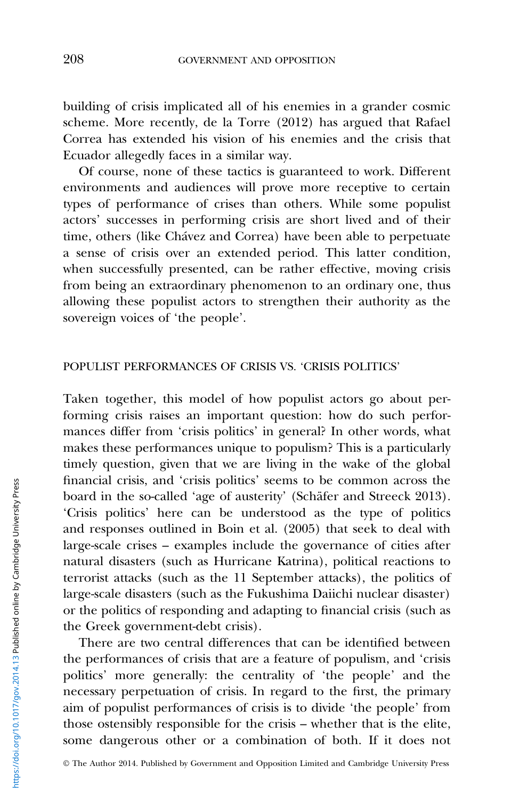building of crisis implicated all of his enemies in a grander cosmic scheme. More recently, de la Torre ([2012\)](#page-27-0) has argued that Rafael Correa has extended his vision of his enemies and the crisis that Ecuador allegedly faces in a similar way.

Of course, none of these tactics is guaranteed to work. Different environments and audiences will prove more receptive to certain types of performance of crises than others. While some populist actors' successes in performing crisis are short lived and of their time, others (like Chávez and Correa) have been able to perpetuate a sense of crisis over an extended period. This latter condition, when successfully presented, can be rather effective, moving crisis from being an extraordinary phenomenon to an ordinary one, thus allowing these populist actors to strengthen their authority as the sovereign voices of 'the people'.

# POPULIST PERFORMANCES OF CRISIS VS. 'CRISIS POLITICS'

Taken together, this model of how populist actors go about performing crisis raises an important question: how do such performances differ from 'crisis politics' in general? In other words, what makes these performances unique to populism? This is a particularly timely question, given that we are living in the wake of the global financial crisis, and 'crisis politics' seems to be common across the board in the so-called 'age of austerity' (Schäfer and Streeck [2013](#page-26-0)). 'Crisis politics' here can be understood as the type of politics and responses outlined in Boin et al. ([2005](#page-24-0)) that seek to deal with large-scale crises – examples include the governance of cities after natural disasters (such as Hurricane Katrina), political reactions to terrorist attacks (such as the 11 September attacks), the politics of large-scale disasters (such as the Fukushima Daiichi nuclear disaster) or the politics of responding and adapting to financial crisis (such as the Greek government-debt crisis).

There are two central differences that can be identified between the performances of crisis that are a feature of populism, and 'crisis politics' more generally: the centrality of 'the people' and the necessary perpetuation of crisis. In regard to the first, the primary aim of populist performances of crisis is to divide 'the people' from those ostensibly responsible for the crisis – whether that is the elite, some dangerous other or a combination of both. If it does not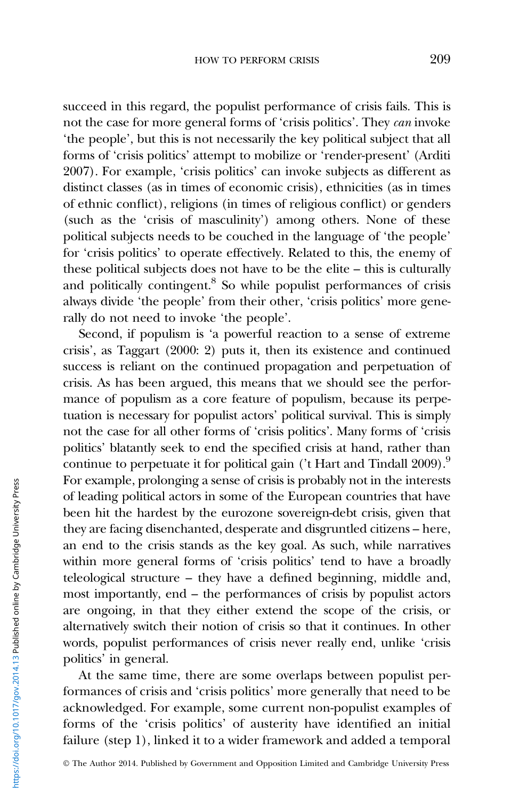succeed in this regard, the populist performance of crisis fails. This is not the case for more general forms of 'crisis politics'. They can invoke 'the people', but this is not necessarily the key political subject that all forms of 'crisis politics' attempt to mobilize or 'render-present' (Arditi [2007](#page-23-0)). For example, 'crisis politics' can invoke subjects as different as distinct classes (as in times of economic crisis), ethnicities (as in times of ethnic conflict), religions (in times of religious conflict) or genders (such as the 'crisis of masculinity') among others. None of these political subjects needs to be couched in the language of 'the people' for 'crisis politics' to operate effectively. Related to this, the enemy of these political subjects does not have to be the elite – this is culturally and politically contingent.<sup>8</sup> So while populist performances of crisis always divide 'the people' from their other, 'crisis politics' more generally do not need to invoke 'the people'.

Second, if populism is 'a powerful reaction to a sense of extreme crisis', as Taggart [\(2000](#page-27-0): 2) puts it, then its existence and continued success is reliant on the continued propagation and perpetuation of crisis. As has been argued, this means that we should see the performance of populism as a core feature of populism, because its perpetuation is necessary for populist actors' political survival. This is simply not the case for all other forms of 'crisis politics'. Many forms of 'crisis politics' blatantly seek to end the specified crisis at hand, rather than continue to perpetuate it for political gain ( $\degree$ t Hart and Tindall [2009\)](#page-27-0).<sup>9</sup> For example, prolonging a sense of crisis is probably not in the interests of leading political actors in some of the European countries that have been hit the hardest by the eurozone sovereign-debt crisis, given that they are facing disenchanted, desperate and disgruntled citizens – here, an end to the crisis stands as the key goal. As such, while narratives within more general forms of 'crisis politics' tend to have a broadly teleological structure – they have a defined beginning, middle and, most importantly, end – the performances of crisis by populist actors are ongoing, in that they either extend the scope of the crisis, or alternatively switch their notion of crisis so that it continues. In other words, populist performances of crisis never really end, unlike 'crisis politics' in general.

At the same time, there are some overlaps between populist performances of crisis and 'crisis politics' more generally that need to be acknowledged. For example, some current non-populist examples of forms of the 'crisis politics' of austerity have identified an initial failure (step 1), linked it to a wider framework and added a temporal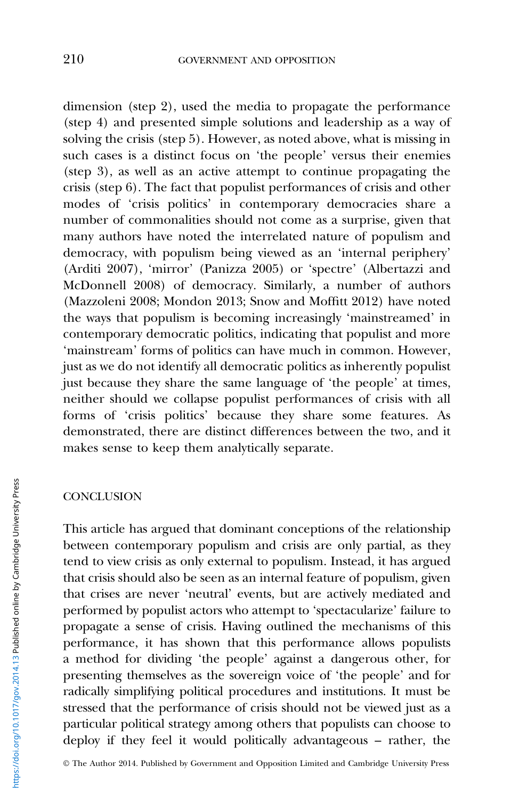dimension (step 2), used the media to propagate the performance (step 4) and presented simple solutions and leadership as a way of solving the crisis (step 5). However, as noted above, what is missing in such cases is a distinct focus on 'the people' versus their enemies (step 3), as well as an active attempt to continue propagating the crisis (step 6). The fact that populist performances of crisis and other modes of 'crisis politics' in contemporary democracies share a number of commonalities should not come as a surprise, given that many authors have noted the interrelated nature of populism and democracy, with populism being viewed as an 'internal periphery' (Arditi [2007](#page-23-0)), 'mirror' (Panizza [2005\)](#page-26-0) or 'spectre' (Albertazzi and McDonnell [2008\)](#page-23-0) of democracy. Similarly, a number of authors (Mazzoleni [2008;](#page-25-0) Mondon [2013;](#page-25-0) Snow and Moffitt [2012\)](#page-27-0) have noted the ways that populism is becoming increasingly 'mainstreamed' in contemporary democratic politics, indicating that populist and more 'mainstream' forms of politics can have much in common. However, just as we do not identify all democratic politics as inherently populist just because they share the same language of 'the people' at times, neither should we collapse populist performances of crisis with all forms of 'crisis politics' because they share some features. As demonstrated, there are distinct differences between the two, and it makes sense to keep them analytically separate.

# **CONCLUSION**

This article has argued that dominant conceptions of the relationship between contemporary populism and crisis are only partial, as they tend to view crisis as only external to populism. Instead, it has argued that crisis should also be seen as an internal feature of populism, given that crises are never 'neutral' events, but are actively mediated and performed by populist actors who attempt to 'spectacularize' failure to propagate a sense of crisis. Having outlined the mechanisms of this performance, it has shown that this performance allows populists a method for dividing 'the people' against a dangerous other, for presenting themselves as the sovereign voice of 'the people' and for radically simplifying political procedures and institutions. It must be stressed that the performance of crisis should not be viewed just as a particular political strategy among others that populists can choose to deploy if they feel it would politically advantageous – rather, the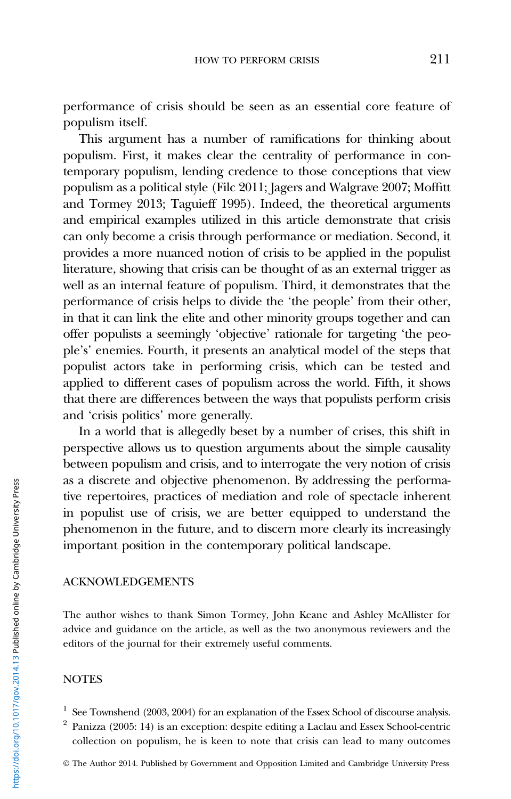performance of crisis should be seen as an essential core feature of populism itself.

This argument has a number of ramifications for thinking about populism. First, it makes clear the centrality of performance in contemporary populism, lending credence to those conceptions that view populism as a political style (Filc [2011](#page-24-0); Jagers and Walgrave [2007;](#page-24-0) Moffitt and Tormey [2013](#page-25-0); Taguieff [1995\)](#page-27-0). Indeed, the theoretical arguments and empirical examples utilized in this article demonstrate that crisis can only become a crisis through performance or mediation. Second, it provides a more nuanced notion of crisis to be applied in the populist literature, showing that crisis can be thought of as an external trigger as well as an internal feature of populism. Third, it demonstrates that the performance of crisis helps to divide the 'the people' from their other, in that it can link the elite and other minority groups together and can offer populists a seemingly 'objective' rationale for targeting 'the people's' enemies. Fourth, it presents an analytical model of the steps that populist actors take in performing crisis, which can be tested and applied to different cases of populism across the world. Fifth, it shows that there are differences between the ways that populists perform crisis and 'crisis politics' more generally.

In a world that is allegedly beset by a number of crises, this shift in perspective allows us to question arguments about the simple causality between populism and crisis, and to interrogate the very notion of crisis as a discrete and objective phenomenon. By addressing the performative repertoires, practices of mediation and role of spectacle inherent in populist use of crisis, we are better equipped to understand the phenomenon in the future, and to discern more clearly its increasingly important position in the contemporary political landscape.

#### ACKNOWLEDGEMENTS

The author wishes to thank Simon Tormey, John Keane and Ashley McAllister for advice and guidance on the article, as well as the two anonymous reviewers and the editors of the journal for their extremely useful comments.

# NOTES

<sup>1</sup> See Townshend [\(2003, 2004\)](#page-27-0) for an explanation of the Essex School of discourse analysis.

<sup>2</sup> Panizza ([2005:](#page-26-0) 14) is an exception: despite editing a Laclau and Essex School-centric collection on populism, he is keen to note that crisis can lead to many outcomes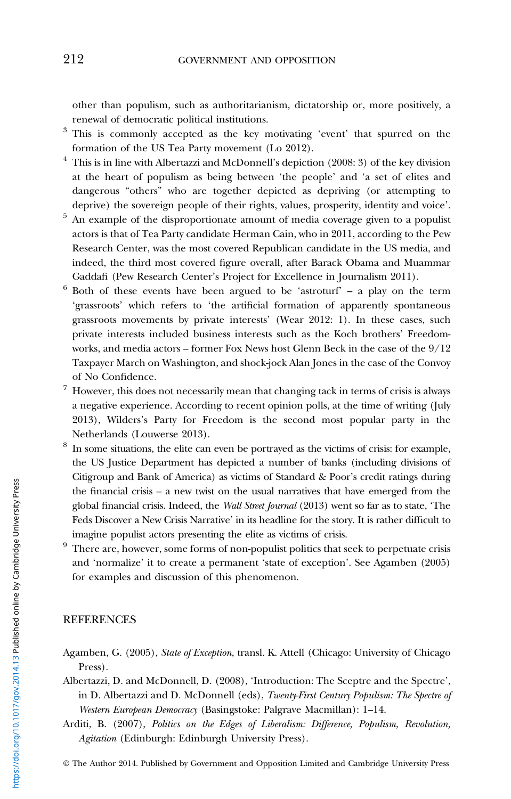<span id="page-23-0"></span>other than populism, such as authoritarianism, dictatorship or, more positively, a renewal of democratic political institutions.

- <sup>3</sup> This is commonly accepted as the key motivating 'event' that spurred on the formation of the US Tea Party movement (Lo [2012\)](#page-25-0).
- <sup>4</sup> This is in line with Albertazzi and McDonnell's depiction (2008: 3) of the key division at the heart of populism as being between 'the people' and 'a set of elites and dangerous "others" who are together depicted as depriving (or attempting to deprive) the sovereign people of their rights, values, prosperity, identity and voice'.
- <sup>5</sup> An example of the disproportionate amount of media coverage given to a populist actors is that of Tea Party candidate Herman Cain, who in 2011, according to the Pew Research Center, was the most covered Republican candidate in the US media, and indeed, the third most covered figure overall, after Barack Obama and Muammar Gaddafi (Pew Research Center's Project for Excellence in Journalism [2011](#page-26-0)).
- $6$  Both of these events have been argued to be 'astroturf' a play on the term 'grassroots' which refers to 'the artificial formation of apparently spontaneous grassroots movements by private interests' (Wear [2012:](#page-27-0) 1). In these cases, such private interests included business interests such as the Koch brothers' Freedomworks, and media actors – former Fox News host Glenn Beck in the case of the 9/12 Taxpayer March on Washington, and shock-jock Alan Jones in the case of the Convoy of No Confidence.
- $7$  However, this does not necessarily mean that changing tack in terms of crisis is always a negative experience. According to recent opinion polls, at the time of writing (July 2013), Wilders's Party for Freedom is the second most popular party in the Netherlands (Louwerse [2013](#page-25-0)).
- <sup>8</sup> In some situations, the elite can even be portrayed as the victims of crisis: for example, the US Justice Department has depicted a number of banks (including divisions of Citigroup and Bank of America) as victims of Standard & Poor's credit ratings during the financial crisis – a new twist on the usual narratives that have emerged from the global financial crisis. Indeed, the Wall Street Journal [\(2013](#page-27-0)) went so far as to state, 'The Feds Discover a New Crisis Narrative' in its headline for the story. It is rather difficult to imagine populist actors presenting the elite as victims of crisis.
- <sup>9</sup> There are, however, some forms of non-populist politics that seek to perpetuate crisis and 'normalize' it to create a permanent 'state of exception'. See Agamben (2005) for examples and discussion of this phenomenon.

#### **REFERENCES**

- Agamben, G. (2005), State of Exception, transl. K. Attell (Chicago: University of Chicago Press).
- Albertazzi, D. and McDonnell, D. (2008), 'Introduction: The Sceptre and the Spectre', in D. Albertazzi and D. McDonnell (eds), Twenty-First Century Populism: The Spectre of Western European Democracy (Basingstoke: Palgrave Macmillan): 1–14.
- Arditi, B. (2007), Politics on the Edges of Liberalism: Difference, Populism, Revolution, Agitation (Edinburgh: Edinburgh University Press).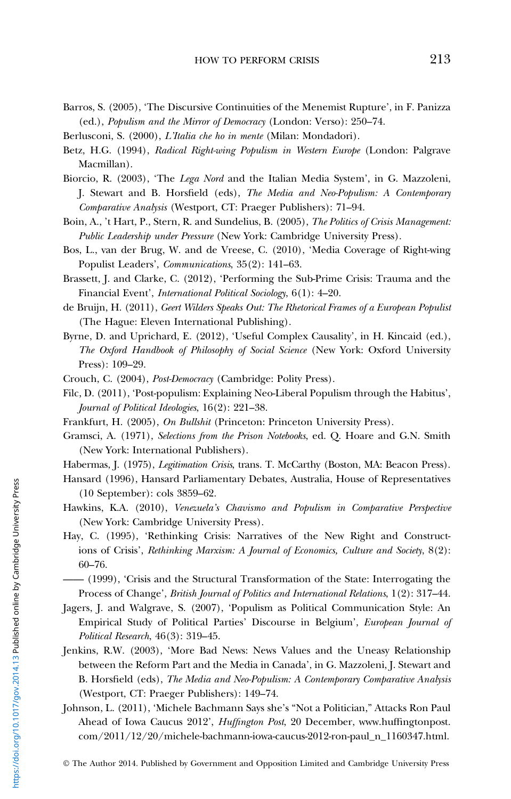- <span id="page-24-0"></span>Barros, S. (2005), 'The Discursive Continuities of the Menemist Rupture', in F. Panizza (ed.), Populism and the Mirror of Democracy (London: Verso): 250–74.
- Berlusconi, S. (2000), L'Italia che ho in mente (Milan: Mondadori).
- Betz, H.G. (1994), Radical Right-wing Populism in Western Europe (London: Palgrave Macmillan).
- Biorcio, R. (2003), 'The Lega Nord and the Italian Media System', in G. Mazzoleni, J. Stewart and B. Horsfield (eds), The Media and Neo-Populism: A Contemporary Comparative Analysis (Westport, CT: Praeger Publishers): 71–94.
- Boin, A., 't Hart, P., Stern, R. and Sundelius, B. (2005), The Politics of Crisis Management: Public Leadership under Pressure (New York: Cambridge University Press).
- Bos, L., van der Brug, W. and de Vreese, C. (2010), 'Media Coverage of Right-wing Populist Leaders', Communications, 35(2): 141–63.
- Brassett, J. and Clarke, C. (2012), 'Performing the Sub-Prime Crisis: Trauma and the Financial Event', International Political Sociology, 6(1): 4–20.
- de Bruijn, H. (2011), Geert Wilders Speaks Out: The Rhetorical Frames of a European Populist (The Hague: Eleven International Publishing).
- Byrne, D. and Uprichard, E. (2012), 'Useful Complex Causality', in H. Kincaid (ed.), The Oxford Handbook of Philosophy of Social Science (New York: Oxford University Press): 109–29.
- Crouch, C. (2004), Post-Democracy (Cambridge: Polity Press).
- Filc, D. (2011), 'Post-populism: Explaining Neo-Liberal Populism through the Habitus', Journal of Political Ideologies, 16(2): 221–38.
- Frankfurt, H. (2005), On Bullshit (Princeton: Princeton University Press).
- Gramsci, A. (1971), Selections from the Prison Notebooks, ed. Q. Hoare and G.N. Smith (New York: International Publishers).
- Habermas, J. (1975), Legitimation Crisis, trans. T. McCarthy (Boston, MA: Beacon Press).
- Hansard (1996), Hansard Parliamentary Debates, Australia, House of Representatives (10 September): cols 3859–62.
- Hawkins, K.A. (2010), Venezuela's Chavismo and Populism in Comparative Perspective (New York: Cambridge University Press).
- Hay, C. (1995), 'Rethinking Crisis: Narratives of the New Right and Constructions of Crisis', Rethinking Marxism: A Journal of Economics, Culture and Society, 8(2): 60–76.
- —— (1999), 'Crisis and the Structural Transformation of the State: Interrogating the Process of Change', British Journal of Politics and International Relations, 1(2): 317–44.
- Jagers, J. and Walgrave, S. (2007), 'Populism as Political Communication Style: An Empirical Study of Political Parties' Discourse in Belgium', European Journal of Political Research, 46(3): 319–45.
- Jenkins, R.W. (2003), 'More Bad News: News Values and the Uneasy Relationship between the Reform Part and the Media in Canada', in G. Mazzoleni, J. Stewart and B. Horsfield (eds), The Media and Neo-Populism: A Contemporary Comparative Analysis (Westport, CT: Praeger Publishers): 149–74.
- Johnson, L. (2011), 'Michele Bachmann Says she's "Not a Politician," Attacks Ron Paul Ahead of Iowa Caucus 2012', Huffington Post, 20 December, www.huffi[ngtonpost.](www.huffingtonpost.com/2011�/�12/20/michele-bachmann-iowa-caucus-2012-ron-paul_n_1160347.html) [com/2011/12/20/michele-bachmann-iowa-caucus-2012-ron-paul\\_n\\_1160347.html](www.huffingtonpost.com/2011�/�12/20/michele-bachmann-iowa-caucus-2012-ron-paul_n_1160347.html).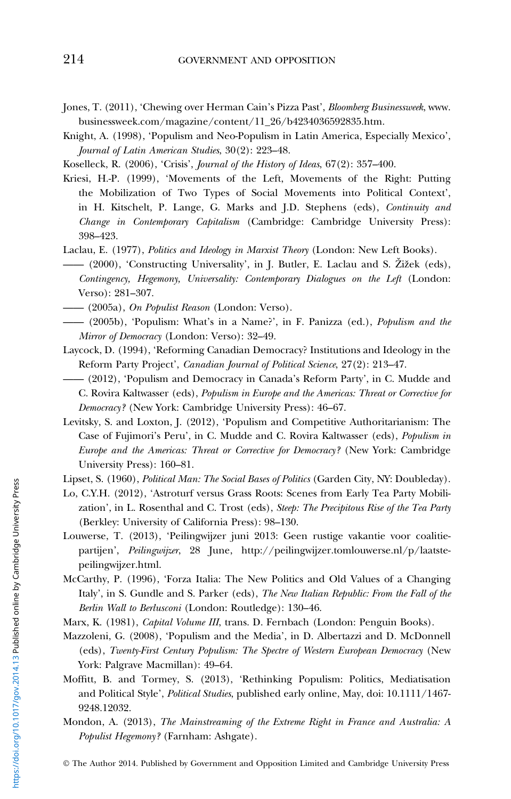- <span id="page-25-0"></span>Jones, T. (2011), 'Chewing over Herman Cain's Pizza Past', Bloomberg Businessweek, [www.](www.businessweek.com/magazine/content/11_26/b4234036592835.htm) [businessweek.com/magazine/content/11\\_26/b4234036592835.htm.](www.businessweek.com/magazine/content/11_26/b4234036592835.htm)
- Knight, A. (1998), 'Populism and Neo-Populism in Latin America, Especially Mexico', Journal of Latin American Studies, 30(2): 223–48.
- Koselleck, R. (2006), 'Crisis', Journal of the History of Ideas, 67(2): 357–400.
- Kriesi, H.-P. (1999), 'Movements of the Left, Movements of the Right: Putting the Mobilization of Two Types of Social Movements into Political Context', in H. Kitschelt, P. Lange, G. Marks and J.D. Stephens (eds), Continuity and Change in Contemporary Capitalism (Cambridge: Cambridge University Press): 398–423.
- Laclau, E. (1977), Politics and Ideology in Marxist Theory (London: New Left Books).
- —— (2000), 'Constructing Universality', in J. Butler, E. Laclau and S. Žižek (eds), Contingency, Hegemony, Universality: Contemporary Dialogues on the Left (London: Verso): 281–307.
- $-$  (2005a), On Populist Reason (London: Verso).
- —— (2005b), 'Populism: What's in a Name?', in F. Panizza (ed.), Populism and the Mirror of Democracy (London: Verso): 32–49.
- Laycock, D. (1994), 'Reforming Canadian Democracy? Institutions and Ideology in the Reform Party Project', Canadian Journal of Political Science, 27(2): 213–47.
- —— (2012), 'Populism and Democracy in Canada's Reform Party', in C. Mudde and C. Rovira Kaltwasser (eds), Populism in Europe and the Americas: Threat or Corrective for Democracy? (New York: Cambridge University Press): 46–67.
- Levitsky, S. and Loxton, J. (2012), 'Populism and Competitive Authoritarianism: The Case of Fujimori's Peru', in C. Mudde and C. Rovira Kaltwasser (eds), Populism in Europe and the Americas: Threat or Corrective for Democracy? (New York: Cambridge University Press): 160–81.
- Lipset, S. (1960), *Political Man: The Social Bases of Politics* (Garden City, NY: Doubleday).
- Lo, C.Y.H. (2012), 'Astroturf versus Grass Roots: Scenes from Early Tea Party Mobilization', in L. Rosenthal and C. Trost (eds), Steep: The Precipitous Rise of the Tea Party (Berkley: University of California Press): 98–130.
- Louwerse, T. (2013), 'Peilingwijzer juni 2013: Geen rustige vakantie voor coalitiepartijen', Peilingwijzer, 28 June, [http://peilingwijzer.tomlouwerse.nl/p/laatste](http://peilingwijzer.tomlouwerse.nl/p/laatste-peilingwijzer.html)[peilingwijzer.html.](http://peilingwijzer.tomlouwerse.nl/p/laatste-peilingwijzer.html)
- McCarthy, P. (1996), 'Forza Italia: The New Politics and Old Values of a Changing Italy', in S. Gundle and S. Parker (eds), The New Italian Republic: From the Fall of the Berlin Wall to Berlusconi (London: Routledge): 130–46.

Marx, K. (1981), Capital Volume III, trans. D. Fernbach (London: Penguin Books).

- Mazzoleni, G. (2008), 'Populism and the Media', in D. Albertazzi and D. McDonnell (eds), Twenty-First Century Populism: The Spectre of Western European Democracy (New York: Palgrave Macmillan): 49–64.
- Moffitt, B. and Tormey, S. (2013), 'Rethinking Populism: Politics, Mediatisation and Political Style', Political Studies, published early online, May, doi: 10.1111/1467- 9248.12032.
- Mondon, A. (2013), The Mainstreaming of the Extreme Right in France and Australia: A Populist Hegemony? (Farnham: Ashgate).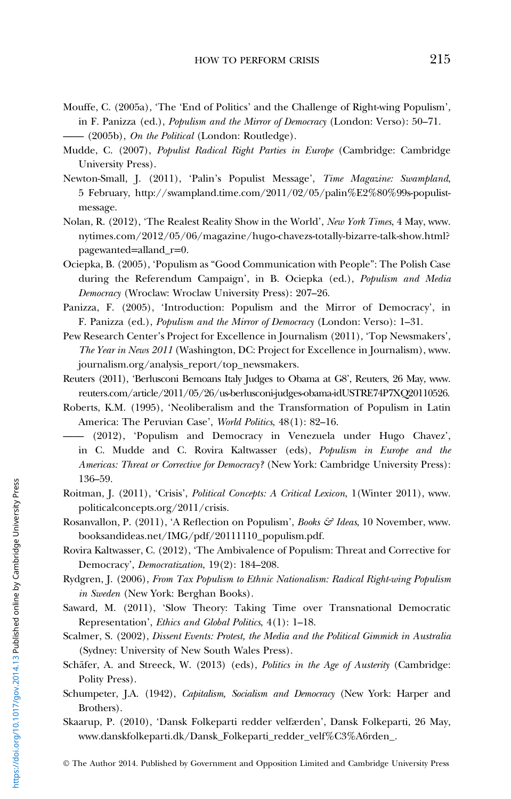- <span id="page-26-0"></span>Mouffe, C. (2005a), 'The 'End of Politics' and the Challenge of Right-wing Populism', in F. Panizza (ed.), Populism and the Mirror of Democracy (London: Verso): 50–71. —— (2005b), On the Political (London: Routledge).
- Mudde, C. (2007), Populist Radical Right Parties in Europe (Cambridge: Cambridge University Press).
- Newton-Small, J. (2011), 'Palin's Populist Message', Time Magazine: Swampland, 5 February, [http://swampland.time.com/2011/02/05/palin%E2%80%99s-populist](http://swampland.time.com/2011�/�02/05/palin%E2%80%99s-populist-message/)[message.](http://swampland.time.com/2011�/�02/05/palin%E2%80%99s-populist-message/)
- Nolan, R. (2012), 'The Realest Reality Show in the World', New York Times, 4 May, [www.](www.nytimes.com/2012�/�05/06/magazine/hugo-chavezs-totally-bizarre-talk-show.html?pagewanted=alland_r=0) [nytimes.com/2012/05/06/magazine/hugo-chavezs-totally-bizarre-talk-show.html?](www.nytimes.com/2012�/�05/06/magazine/hugo-chavezs-totally-bizarre-talk-show.html?pagewanted=alland_r=0) [pagewanted](www.nytimes.com/2012�/�05/06/magazine/hugo-chavezs-totally-bizarre-talk-show.html?pagewanted=alland_r=0)=alland\_r=0.
- Ociepka, B. (2005), 'Populism as "Good Communication with People": The Polish Case during the Referendum Campaign', in B. Ociepka (ed.), Populism and Media Democracy (Wroclaw: Wroclaw University Press): 207–26.
- Panizza, F. (2005), 'Introduction: Populism and the Mirror of Democracy', in F. Panizza (ed.), Populism and the Mirror of Democracy (London: Verso): 1–31.
- Pew Research Center's Project for Excellence in Journalism (2011), 'Top Newsmakers', The Year in News 2011 (Washington, DC: Project for Excellence in Journalism), [www.](www.journalism.org/analysis_report/top_newsmakers) [journalism.org/analysis\\_report/top\\_newsmakers](www.journalism.org/analysis_report/top_newsmakers).
- Reuters (2011), 'Berlusconi Bemoans Italy Judges to Obama at G8', Reuters, 26 May, [www.](www.reuters.com/article/2011�/�05/26/us-berlusconi-judges-obama-idUSTRE74P7XQ20110526) [reuters.com/article/2011/05/26/us-berlusconi-judges-obama-idUSTRE74P7XQ20110526.](www.reuters.com/article/2011�/�05/26/us-berlusconi-judges-obama-idUSTRE74P7XQ20110526)
- Roberts, K.M. (1995), 'Neoliberalism and the Transformation of Populism in Latin America: The Peruvian Case', World Politics, 48(1): 82–16.
- —— (2012), 'Populism and Democracy in Venezuela under Hugo Chavez', in C. Mudde and C. Rovira Kaltwasser (eds), Populism in Europe and the Americas: Threat or Corrective for Democracy? (New York: Cambridge University Press): 136–59.
- Roitman, J. (2011), 'Crisis', Political Concepts: A Critical Lexicon, 1(Winter 2011), [www.](www.politicalconcepts.org/2011/crisis) [politicalconcepts.org/2011/crisis](www.politicalconcepts.org/2011/crisis).
- Rosanvallon, P. (2011), 'A Reflection on Populism', Books  $\mathcal{F}$  Ideas, 10 November, [www.](www.booksandideas.net/IMG/pdf/20111110_populism.pdf) [booksandideas.net/IMG/pdf/20111110\\_populism.pdf.](www.booksandideas.net/IMG/pdf/20111110_populism.pdf)
- Rovira Kaltwasser, C. (2012), 'The Ambivalence of Populism: Threat and Corrective for Democracy', Democratization, 19(2): 184–208.
- Rydgren, J. (2006), From Tax Populism to Ethnic Nationalism: Radical Right-wing Populism in Sweden (New York: Berghan Books).
- Saward, M. (2011), 'Slow Theory: Taking Time over Transnational Democratic Representation', Ethics and Global Politics, 4(1): 1–18.
- Scalmer, S. (2002), Dissent Events: Protest, the Media and the Political Gimmick in Australia (Sydney: University of New South Wales Press).
- Schäfer, A. and Streeck, W. (2013) (eds), Politics in the Age of Austerity (Cambridge: Polity Press).
- Schumpeter, J.A. (1942), Capitalism, Socialism and Democracy (New York: Harper and Brothers).
- Skaarup, P. (2010), 'Dansk Folkeparti redder velfærden', Dansk Folkeparti, 26 May, [www.danskfolkeparti.dk/Dansk\\_Folkeparti\\_redder\\_velf%C3%A6rden\\_](www.danskfolkeparti.dk/Dansk_Folkeparti_redder_velf%C3%A6rden_).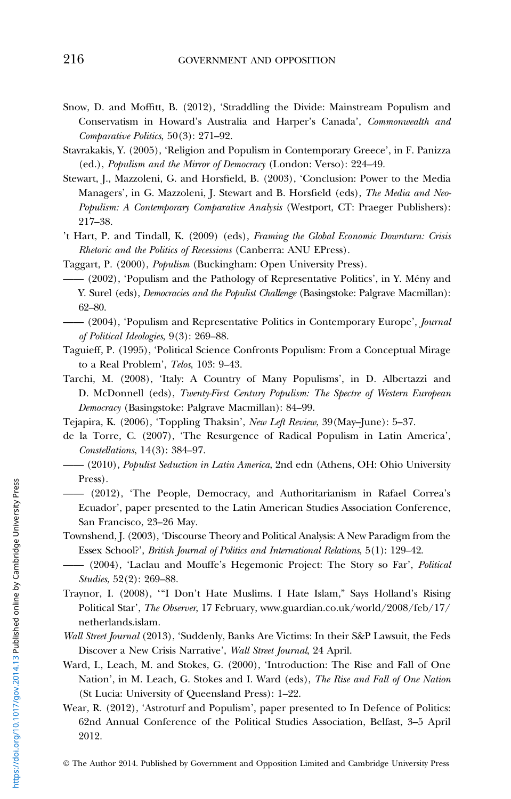- <span id="page-27-0"></span>Snow, D. and Moffitt, B. (2012), 'Straddling the Divide: Mainstream Populism and Conservatism in Howard's Australia and Harper's Canada', Commonwealth and Comparative Politics, 50(3): 271–92.
- Stavrakakis, Y. (2005), 'Religion and Populism in Contemporary Greece', in F. Panizza (ed.), Populism and the Mirror of Democracy (London: Verso): 224–49.
- Stewart, J., Mazzoleni, G. and Horsfield, B. (2003), 'Conclusion: Power to the Media Managers', in G. Mazzoleni, J. Stewart and B. Horsfield (eds), The Media and Neo-Populism: A Contemporary Comparative Analysis (Westport, CT: Praeger Publishers): 217–38.
- 't Hart, P. and Tindall, K. (2009) (eds), Framing the Global Economic Downturn: Crisis Rhetoric and the Politics of Recessions (Canberra: ANU EPress).
- Taggart, P. (2000), Populism (Buckingham: Open University Press).
- —— (2002), 'Populism and the Pathology of Representative Politics', in Y. Mény and Y. Surel (eds), *Democracies and the Populist Challenge* (Basingstoke: Palgrave Macmillan): 62–80.
- —— (2004), 'Populism and Representative Politics in Contemporary Europe', Journal of Political Ideologies, 9(3): 269–88.
- Taguieff, P. (1995), 'Political Science Confronts Populism: From a Conceptual Mirage to a Real Problem', Telos, 103: 9–43.
- Tarchi, M. (2008), 'Italy: A Country of Many Populisms', in D. Albertazzi and D. McDonnell (eds), Twenty-First Century Populism: The Spectre of Western European Democracy (Basingstoke: Palgrave Macmillan): 84–99.
- Tejapira, K. (2006), 'Toppling Thaksin', New Left Review, 39(May–June): 5–37.
- de la Torre, C. (2007), 'The Resurgence of Radical Populism in Latin America', Constellations, 14(3): 384–97.
- —— (2010), Populist Seduction in Latin America, 2nd edn (Athens, OH: Ohio University Press).
	- —— (2012), 'The People, Democracy, and Authoritarianism in Rafael Correa's Ecuador', paper presented to the Latin American Studies Association Conference, San Francisco, 23–26 May.
- Townshend, J. (2003), 'Discourse Theory and Political Analysis: A New Paradigm from the Essex School?', British Journal of Politics and International Relations, 5(1): 129–42.
- (2004), 'Laclau and Mouffe's Hegemonic Project: The Story so Far', Political Studies, 52(2): 269–88.
- Traynor, I. (2008), '"I Don't Hate Muslims. I Hate Islam," Says Holland's Rising Political Star', The Observer, 17 February, [www.guardian.co.uk/world/2008/feb/17/](www.guardian.co.uk/world/2008/feb/17/netherlands.islam) [netherlands.islam.](www.guardian.co.uk/world/2008/feb/17/netherlands.islam)
- Wall Street Journal (2013), 'Suddenly, Banks Are Victims: In their S&P Lawsuit, the Feds Discover a New Crisis Narrative', Wall Street Journal, 24 April.
- Ward, I., Leach, M. and Stokes, G. (2000), 'Introduction: The Rise and Fall of One Nation', in M. Leach, G. Stokes and I. Ward (eds), The Rise and Fall of One Nation (St Lucia: University of Queensland Press): 1–22.
- Wear, R. (2012), 'Astroturf and Populism', paper presented to In Defence of Politics: 62nd Annual Conference of the Political Studies Association, Belfast, 3–5 April 2012.